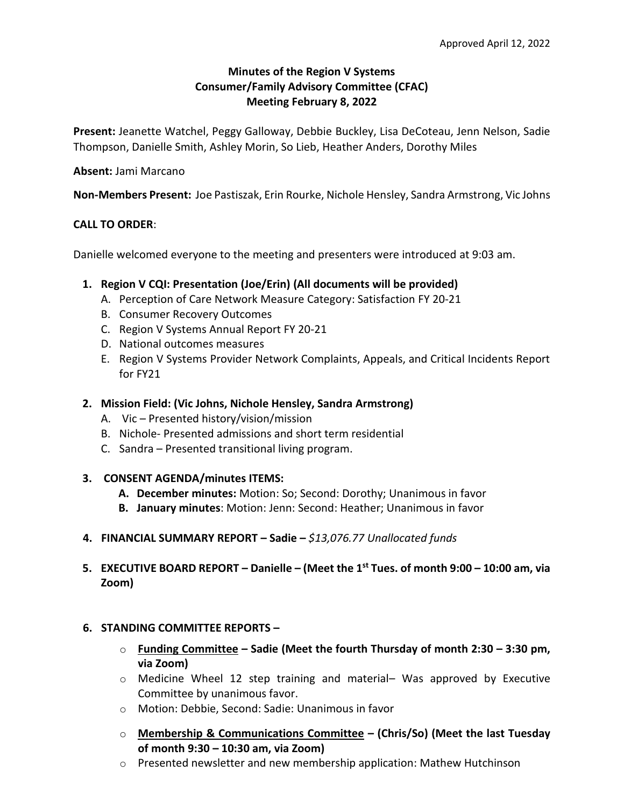# **Minutes of the Region V Systems Consumer/Family Advisory Committee (CFAC) Meeting February 8, 2022**

**Present:** Jeanette Watchel, Peggy Galloway, Debbie Buckley, Lisa DeCoteau, Jenn Nelson, Sadie Thompson, Danielle Smith, Ashley Morin, So Lieb, Heather Anders, Dorothy Miles

### **Absent:** Jami Marcano

**Non-Members Present:** Joe Pastiszak, Erin Rourke, Nichole Hensley, Sandra Armstrong, Vic Johns

## **CALL TO ORDER**:

Danielle welcomed everyone to the meeting and presenters were introduced at 9:03 am.

## **1. Region V CQI: Presentation (Joe/Erin) (All documents will be provided)**

- A. Perception of Care Network Measure Category: Satisfaction FY 20-21
	- B. Consumer Recovery Outcomes
	- C. Region V Systems Annual Report FY 20-21
	- D. National outcomes measures
	- E. Region V Systems Provider Network Complaints, Appeals, and Critical Incidents Report for FY21

### **2. Mission Field: (Vic Johns, Nichole Hensley, Sandra Armstrong)**

- A. Vic Presented history/vision/mission
- B. Nichole- Presented admissions and short term residential
- C. Sandra Presented transitional living program.

#### **3. CONSENT AGENDA/minutes ITEMS:**

- **A. December minutes:** Motion: So; Second: Dorothy; Unanimous in favor
- **B. January minutes**: Motion: Jenn: Second: Heather; Unanimous in favor
- **4. FINANCIAL SUMMARY REPORT – Sadie –** *\$13,076.77 Unallocated funds*
- **5. EXECUTIVE BOARD REPORT – Danielle – (Meet the 1st Tues. of month 9:00 – 10:00 am, via Zoom)**

# **6. STANDING COMMITTEE REPORTS –**

- o **Funding Committee – Sadie (Meet the fourth Thursday of month 2:30 – 3:30 pm, via Zoom)**
- $\circ$  Medicine Wheel 12 step training and material- Was approved by Executive Committee by unanimous favor.
- o Motion: Debbie, Second: Sadie: Unanimous in favor
- o **Membership & Communications Committee – (Chris/So) (Meet the last Tuesday of month 9:30 – 10:30 am, via Zoom)**
- $\circ$  Presented newsletter and new membership application: Mathew Hutchinson